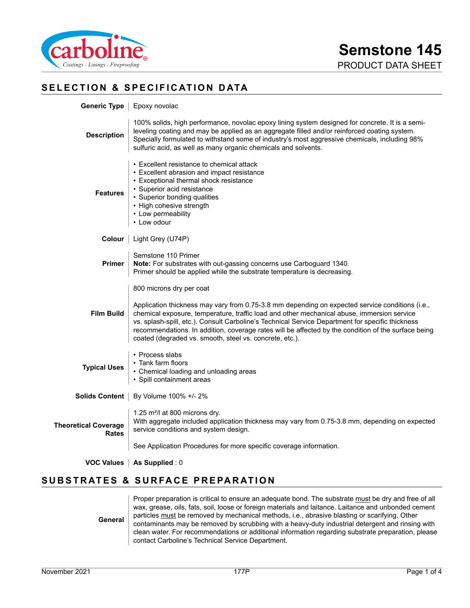

# **SELECTION & SPECIFICATION DATA**

|                                             | Generic Type   Epoxy novolac                                                                                                                                                                                                                                                                                                                                                                                                                                                                    |
|---------------------------------------------|-------------------------------------------------------------------------------------------------------------------------------------------------------------------------------------------------------------------------------------------------------------------------------------------------------------------------------------------------------------------------------------------------------------------------------------------------------------------------------------------------|
| <b>Description</b>                          | 100% solids, high performance, novolac epoxy lining system designed for concrete. It is a semi-<br>leveling coating and may be applied as an aggregate filled and/or reinforced coating system.<br>Specially formulated to withstand some of industry's most aggressive chemicals, including 98%<br>sulfuric acid, as well as many organic chemicals and solvents.                                                                                                                              |
| <b>Features</b>                             | • Excellent resistance to chemical attack<br>• Excellent abrasion and impact resistance<br>• Exceptional thermal shock resistance<br>· Superior acid resistance<br>• Superior bonding qualities<br>• High cohesive strength<br>• Low permeability<br>• Low odour                                                                                                                                                                                                                                |
|                                             | <b>Colour</b>   Light Grey (U74P)                                                                                                                                                                                                                                                                                                                                                                                                                                                               |
| <b>Primer</b>                               | Semstone 110 Primer<br>Note: For substrates with out-gassing concerns use Carboguard 1340.<br>Primer should be applied while the substrate temperature is decreasing.                                                                                                                                                                                                                                                                                                                           |
| <b>Film Build</b>                           | 800 microns dry per coat<br>Application thickness may vary from 0.75-3.8 mm depending on expected service conditions (i.e.,<br>chemical exposure, temperature, traffic load and other mechanical abuse, immersion service<br>vs. splash-spill, etc.). Consult Carboline's Technical Service Department for specific thickness<br>recommendations. In addition, coverage rates will be affected by the condition of the surface being<br>coated (degraded vs. smooth, steel vs. concrete, etc.). |
| <b>Typical Uses</b>                         | • Process slabs<br>• Tank farm floors<br>• Chemical loading and unloading areas<br>• Spill containment areas                                                                                                                                                                                                                                                                                                                                                                                    |
|                                             | Solids Content   By Volume 100% +/- 2%                                                                                                                                                                                                                                                                                                                                                                                                                                                          |
| <b>Theoretical Coverage</b><br><b>Rates</b> | 1.25 m <sup>2</sup> /l at 800 microns dry.<br>With aggregate included application thickness may vary from 0.75-3.8 mm, depending on expected<br>service conditions and system design.<br>See Application Procedures for more specific coverage information.                                                                                                                                                                                                                                     |
|                                             | VOC Values   As Supplied : 0                                                                                                                                                                                                                                                                                                                                                                                                                                                                    |
|                                             |                                                                                                                                                                                                                                                                                                                                                                                                                                                                                                 |
|                                             | <b>SUBSTRATES &amp; SURFACE PREPARATION</b>                                                                                                                                                                                                                                                                                                                                                                                                                                                     |

Proper preparation is critical to ensure an adequate bond. The substrate must be dry and free of all wax, grease, oils, fats, soil, loose or foreign materials and laitance. Laitance and unbonded cement

**General** particles must be removed by mechanical methods, i.e., abrasive blasting or scarifying. Other contaminants may be removed by scrubbing with a heavy-duty industrial detergent and rinsing with clean water. For recommendations or additional information regarding substrate preparation, please contact Carboline's Technical Service Department.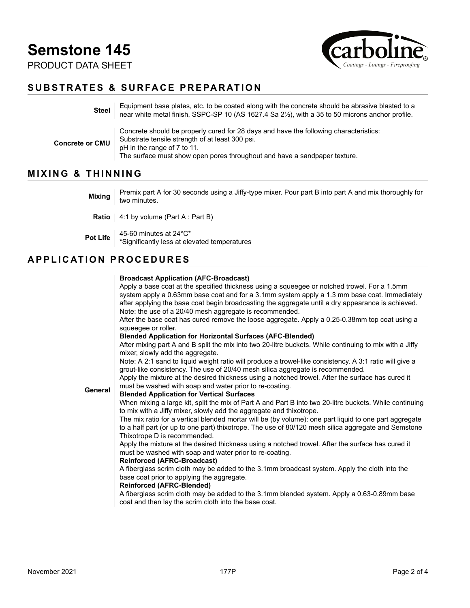

# **SUBSTRATES & SURFACE PREPARATION**

| <b>Steel</b>           | Equipment base plates, etc. to be coated along with the concrete should be abrasive blasted to a<br>near white metal finish, SSPC-SP 10 (AS 1627.4 Sa 2½), with a 35 to 50 microns anchor profile.                                                   |
|------------------------|------------------------------------------------------------------------------------------------------------------------------------------------------------------------------------------------------------------------------------------------------|
| <b>Concrete or CMU</b> | Concrete should be properly cured for 28 days and have the following characteristics:<br>Substrate tensile strength of at least 300 psi.<br>pH in the range of 7 to 11.<br>The surface must show open pores throughout and have a sandpaper texture. |

# **MIXING & THINNING**

| Premix part A for 30 seconds using a Jiffy-type mixer. Pour part B into part A and mix thoroughly for<br>Mixing $\vert$ two minutes. |
|--------------------------------------------------------------------------------------------------------------------------------------|
| <b>Ratio</b> $ $ 4:1 by volume (Part A : Part B)                                                                                     |
| Pot Life $\parallel$ 45-60 minutes at 24°C*<br>*Significantly less at elevated temperatures                                          |

# **APPLICATION PROCEDURES**

|         | <b>Broadcast Application (AFC-Broadcast)</b>                                                                                                |
|---------|---------------------------------------------------------------------------------------------------------------------------------------------|
|         | Apply a base coat at the specified thickness using a squeegee or notched trowel. For a 1.5mm                                                |
|         | system apply a 0.63mm base coat and for a 3.1mm system apply a 1.3 mm base coat. Immediately                                                |
|         | after applying the base coat begin broadcasting the aggregate until a dry appearance is achieved.                                           |
|         | Note: the use of a 20/40 mesh aggregate is recommended.                                                                                     |
|         | After the base coat has cured remove the loose aggregate. Apply a 0.25-0.38mm top coat using a                                              |
|         | squeeqee or roller.                                                                                                                         |
|         | <b>Blended Application for Horizontal Surfaces (AFC-Blended)</b>                                                                            |
|         | After mixing part A and B split the mix into two 20-litre buckets. While continuing to mix with a Jiffy<br>mixer, slowly add the aggregate. |
|         | Note: A 2:1 sand to liquid weight ratio will produce a trowel-like consistency. A 3:1 ratio will give a                                     |
|         | grout-like consistency. The use of 20/40 mesh silica aggregate is recommended.                                                              |
|         | Apply the mixture at the desired thickness using a notched trowel. After the surface has cured it                                           |
|         | must be washed with soap and water prior to re-coating.                                                                                     |
| General | <b>Blended Application for Vertical Surfaces</b>                                                                                            |
|         | When mixing a large kit, split the mix of Part A and Part B into two 20-litre buckets. While continuing                                     |
|         | to mix with a Jiffy mixer, slowly add the aggregate and thixotrope.                                                                         |
|         | The mix ratio for a vertical blended mortar will be (by volume): one part liquid to one part aggregate                                      |
|         | to a half part (or up to one part) thixotrope. The use of 80/120 mesh silica aggregate and Semstone                                         |
|         | Thixotrope D is recommended.                                                                                                                |
|         | Apply the mixture at the desired thickness using a notched trowel. After the surface has cured it                                           |
|         | must be washed with soap and water prior to re-coating.<br><b>Reinforced (AFRC-Broadcast)</b>                                               |
|         | A fiberglass scrim cloth may be added to the 3.1mm broadcast system. Apply the cloth into the                                               |
|         | base coat prior to applying the aggregate.                                                                                                  |
|         | <b>Reinforced (AFRC-Blended)</b>                                                                                                            |
|         | A fiberglass scrim cloth may be added to the 3.1mm blended system. Apply a 0.63-0.89mm base                                                 |
|         | coat and then lay the scrim cloth into the base coat.                                                                                       |
|         |                                                                                                                                             |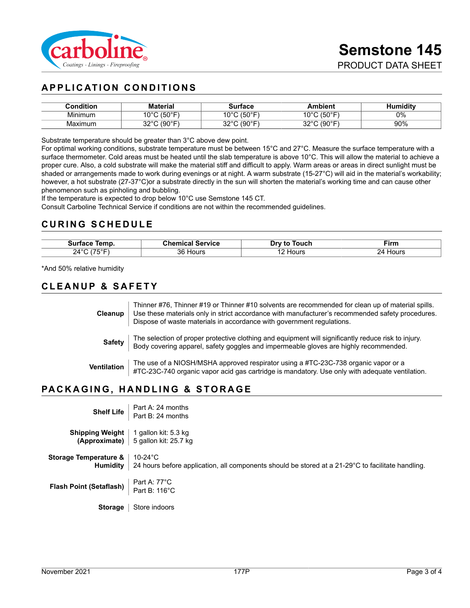

# **APPLICATION CONDITIONS**

| <b>Condition</b> | <b>Material</b>                             | <b>≅urface</b>                    | Ambient               | Humiditv<br>1u |
|------------------|---------------------------------------------|-----------------------------------|-----------------------|----------------|
| .<br>Mınımum     | (50°F<br>$\sim$                             | $I E \cap P$<br>៱៱៰៸<br>ັບ        | (50°F,<br>10°C        | $0\%$          |
| Maximum          | $(0 \cap \mathbb{C}^n)$<br>າາ∘∩<br>งบ<br>ັ້ | $100^{\circ}$<br>nnor<br>.JU<br>ັ | $(90°$ F<br>nnon<br>ັ | 90%            |

Substrate temperature should be greater than 3°C above dew point.

For optimal working conditions, substrate temperature must be between 15°C and 27°C. Measure the surface temperature with a surface thermometer. Cold areas must be heated until the slab temperature is above 10°C. This will allow the material to achieve a proper cure. Also, a cold substrate will make the material stiff and difficult to apply. Warm areas or areas in direct sunlight must be shaded or arrangements made to work during evenings or at night. A warm substrate (15-27°C) will aid in the material's workability; however, a hot substrate (27-37°C)or a substrate directly in the sun will shorten the material's working time and can cause other phenomenon such as pinholing and bubbling.

If the temperature is expected to drop below 10°C use Semstone 145 CT.

Consult Carboline Technical Service if conditions are not within the recommended guidelines.

#### **CURING SCHEDULE**

| Temp.    | Chemical      | Touch  | Firm  |
|----------|---------------|--------|-------|
| Surtace  | Service       | Drv to |       |
| 24°<br>_ | 36 H<br>Hours | Hour:  | Hours |

\*And 50% relative humidity

#### **CLEANUP & SAFETY**

**Cleanup** Thinner #76, Thinner #19 or Thinner #10 solvents are recommended for clean up of material spills. Use these materials only in strict accordance with manufacturer's recommended safety procedures. Dispose of waste materials in accordance with government regulations. **Safety** The selection of proper protective clothing and equipment will significantly reduce risk to injury. Body covering apparel, safety goggles and impermeable gloves are highly recommended.

**Ventilation** The use of a NIOSH/MSHA approved respirator using a #TC-23C-738 organic vapor or a<br>**Ventilation**  $\begin{bmatrix} 47C & 22C & 740 & 87800 \\ 47C & 22C & 740 & 878000 \\ \end{bmatrix}$ #TC-23C-740 organic vapor acid gas cartridge is mandatory. Use only with adequate ventilation.

# **PACKAGING, HANDLING & STORAGE**

| Shelf Life                        | Part A: 24 months<br>Part B: 24 months                                                                                          |
|-----------------------------------|---------------------------------------------------------------------------------------------------------------------------------|
| <b>Shipping Weight</b>            | 1 gallon kit: 5.3 kg<br><b>(Approximate)</b> 5 gallon kit: 25.7 kg                                                              |
| Storage Temperature &<br>Humidity | 10-24 $\mathrm{^{\circ}C}$<br>24 hours before application, all components should be stored at a 21-29°C to facilitate handling. |
| <b>Flash Point (Setaflash)</b>    | Part A: 77°C<br>Part B: 116°C                                                                                                   |
| <b>Storage</b>                    | Store indoors                                                                                                                   |